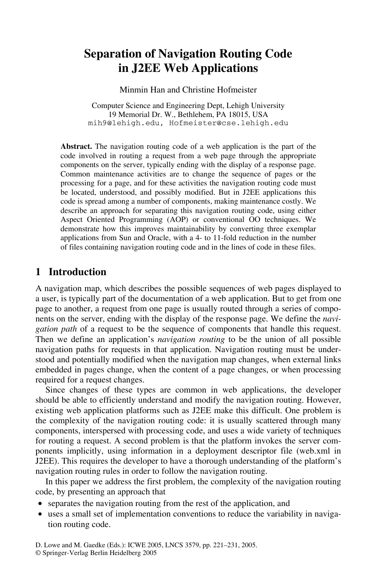# **Separation of Navigation Routing Code in J2EE Web Applications**

Minmin Han and Christine Hofmeister

Computer Science and Engineering Dept, Lehigh University 19 Memorial Dr. W., Bethlehem, PA 18015, USA mih9@lehigh.edu, Hofmeister@cse.lehigh.edu

**Abstract.** The navigation routing code of a web application is the part of the code involved in routing a request from a web page through the appropriate components on the server, typically ending with the display of a response page. Common maintenance activities are to change the sequence of pages or the processing for a page, and for these activities the navigation routing code must be located, understood, and possibly modified. But in J2EE applications this code is spread among a number of components, making maintenance costly. We describe an approach for separating this navigation routing code, using either Aspect Oriented Programming (AOP) or conventional OO techniques. We demonstrate how this improves maintainability by converting three exemplar applications from Sun and Oracle, with a 4- to 11-fold reduction in the number of files containing navigation routing code and in the lines of code in these files.

## **1 Introduction**

A navigation map, which describes the possible sequences of web pages displayed to a user, is typically part of the documentation of a web application. But to get from one page to another, a request from one page is usually routed through a series of components on the server, ending with the display of the response page. We define the *navigation path* of a request to be the sequence of components that handle this request. Then we define an application's *navigation routing* to be the union of all possible navigation paths for requests in that application. Navigation routing must be understood and potentially modified when the navigation map changes, when external links embedded in pages change, when the content of a page changes, or when processing required for a request changes.

Since changes of these types are common in web applications, the developer should be able to efficiently understand and modify the navigation routing. However, existing web application platforms such as J2EE make this difficult. One problem is the complexity of the navigation routing code: it is usually scattered through many components, interspersed with processing code, and uses a wide variety of techniques for routing a request. A second problem is that the platform invokes the server components implicitly, using information in a deployment descriptor file (web.xml in J2EE). This requires the developer to have a thorough understanding of the platformís navigation routing rules in order to follow the navigation routing.

In this paper we address the first problem, the complexity of the navigation routing code, by presenting an approach that

- separates the navigation routing from the rest of the application, and
- uses a small set of implementation conventions to reduce the variability in navigation routing code.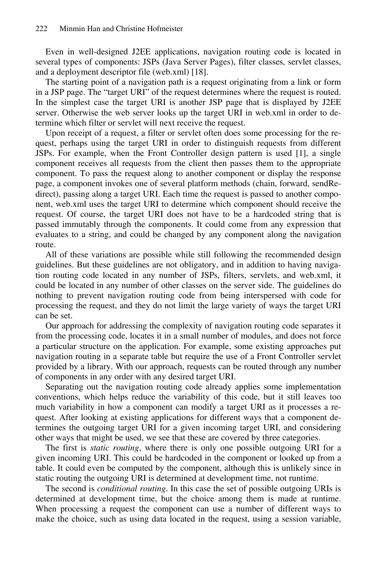Even in well-designed J2EE applications, navigation routing code is located in several types of components: JSPs (Java Server Pages), filter classes, servlet classes, and a deployment descriptor file (web.xml) [18].

The starting point of a navigation path is a request originating from a link or form in a JSP page. The "target URI" of the request determines where the request is routed. In the simplest case the target URI is another JSP page that is displayed by J2EE server. Otherwise the web server looks up the target URI in web.xml in order to determine which filter or servlet will next receive the request.

Upon receipt of a request, a filter or servlet often does some processing for the request, perhaps using the target URI in order to distinguish requests from different JSPs. For example, when the Front Controller design pattern is used [1], a single component receives all requests from the client then passes them to the appropriate component. To pass the request along to another component or display the response page, a component invokes one of several platform methods (chain, forward, sendRedirect), passing along a target URI. Each time the request is passed to another component, web.xml uses the target URI to determine which component should receive the request. Of course, the target URI does not have to be a hardcoded string that is passed immutably through the components. It could come from any expression that evaluates to a string, and could be changed by any component along the navigation route.

All of these variations are possible while still following the recommended design guidelines. But these guidelines are not obligatory, and in addition to having navigation routing code located in any number of JSPs, filters, servlets, and web.xml, it could be located in any number of other classes on the server side. The guidelines do nothing to prevent navigation routing code from being interspersed with code for processing the request, and they do not limit the large variety of ways the target URI can be set.

Our approach for addressing the complexity of navigation routing code separates it from the processing code, locates it in a small number of modules, and does not force a particular structure on the application. For example, some existing approaches put navigation routing in a separate table but require the use of a Front Controller servlet provided by a library. With our approach, requests can be routed through any number of components in any order with any desired target URI.

Separating out the navigation routing code already applies some implementation conventions, which helps reduce the variability of this code, but it still leaves too much variability in how a component can modify a target URI as it processes a request. After looking at existing applications for different ways that a component determines the outgoing target URI for a given incoming target URI, and considering other ways that might be used, we see that these are covered by three categories.

The first is *static routing*, where there is only one possible outgoing URI for a given incoming URI. This could be hardcoded in the component or looked up from a table. It could even be computed by the component, although this is unlikely since in static routing the outgoing URI is determined at development time, not runtime.

The second is *conditional routing*. In this case the set of possible outgoing URIs is determined at development time, but the choice among them is made at runtime. When processing a request the component can use a number of different ways to make the choice, such as using data located in the request, using a session variable,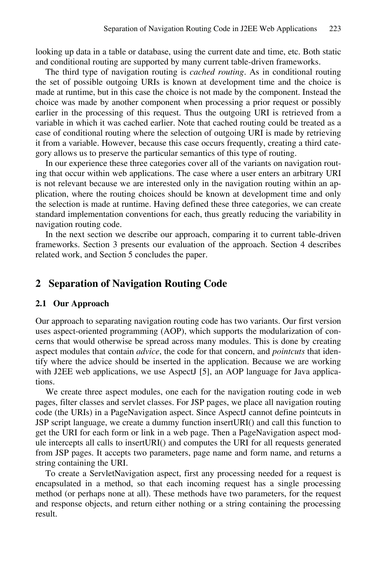looking up data in a table or database, using the current date and time, etc. Both static and conditional routing are supported by many current table-driven frameworks.

The third type of navigation routing is *cached routing*. As in conditional routing the set of possible outgoing URIs is known at development time and the choice is made at runtime, but in this case the choice is not made by the component. Instead the choice was made by another component when processing a prior request or possibly earlier in the processing of this request. Thus the outgoing URI is retrieved from a variable in which it was cached earlier. Note that cached routing could be treated as a case of conditional routing where the selection of outgoing URI is made by retrieving it from a variable. However, because this case occurs frequently, creating a third category allows us to preserve the particular semantics of this type of routing.

In our experience these three categories cover all of the variants on navigation routing that occur within web applications. The case where a user enters an arbitrary URI is not relevant because we are interested only in the navigation routing within an application, where the routing choices should be known at development time and only the selection is made at runtime. Having defined these three categories, we can create standard implementation conventions for each, thus greatly reducing the variability in navigation routing code.

In the next section we describe our approach, comparing it to current table-driven frameworks. Section 3 presents our evaluation of the approach. Section 4 describes related work, and Section 5 concludes the paper.

### **2 Separation of Navigation Routing Code**

#### **2.1 Our Approach**

Our approach to separating navigation routing code has two variants. Our first version uses aspect-oriented programming (AOP), which supports the modularization of concerns that would otherwise be spread across many modules. This is done by creating aspect modules that contain *advice*, the code for that concern, and *pointcuts* that identify where the advice should be inserted in the application. Because we are working with J2EE web applications, we use AspectJ [5], an AOP language for Java applications.

We create three aspect modules, one each for the navigation routing code in web pages, filter classes and servlet classes. For JSP pages, we place all navigation routing code (the URIs) in a PageNavigation aspect. Since AspectJ cannot define pointcuts in JSP script language, we create a dummy function insertURI() and call this function to get the URI for each form or link in a web page. Then a PageNavigation aspect module intercepts all calls to insertURI() and computes the URI for all requests generated from JSP pages. It accepts two parameters, page name and form name, and returns a string containing the URI.

To create a ServletNavigation aspect, first any processing needed for a request is encapsulated in a method, so that each incoming request has a single processing method (or perhaps none at all). These methods have two parameters, for the request and response objects, and return either nothing or a string containing the processing result.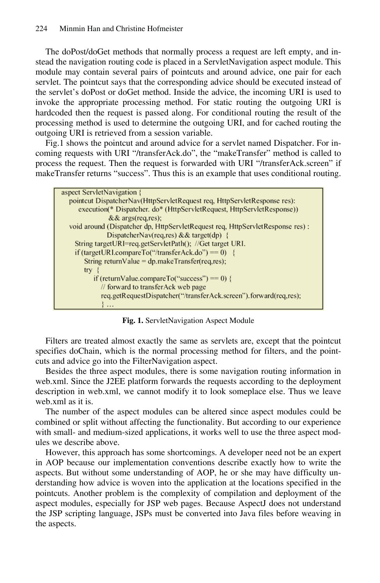The doPost/doGet methods that normally process a request are left empty, and instead the navigation routing code is placed in a ServletNavigation aspect module. This module may contain several pairs of pointcuts and around advice, one pair for each servlet. The pointcut says that the corresponding advice should be executed instead of the servletís doPost or doGet method. Inside the advice, the incoming URI is used to invoke the appropriate processing method. For static routing the outgoing URI is hardcoded then the request is passed along. For conditional routing the result of the processing method is used to determine the outgoing URI, and for cached routing the outgoing URI is retrieved from a session variable.

Fig.1 shows the pointcut and around advice for a servlet named Dispatcher. For incoming requests with URI "/transferAck.do", the "makeTransfer" method is called to process the request. Then the request is forwarded with URI "/transferAck.screen" if makeTransfer returns "success". Thus this is an example that uses conditional routing.

| aspect ServletNavigation {                                                     |
|--------------------------------------------------------------------------------|
| point cut Dispatcher Nav(HttpServlet Request req, HttpServlet Response res):   |
| execution(* Dispatcher. do* (HttpServletRequest, HttpServletResponse))         |
| $&$ & args(req, res);                                                          |
| void around (Dispatcher dp, HttpServletRequest req, HttpServletResponse res) : |
| DispatcherNav(req,res) & & target(dp) {                                        |
| String targetURI=req.getServletPath(); //Get target URI.                       |
| if (targetURI.compareTo("/transferAck.do") == 0) {                             |
| String returnValue = $dp$ .makeTransfer(req,res);                              |
| $try \{$                                                                       |
| if (returnValue.compareTo("success") == 0) {                                   |
| // forward to transferAck web page                                             |
| req.getRequestDispatcher("/transferAck.screen").forward(req.res);              |
| :                                                                              |
|                                                                                |

**Fig. 1.** ServletNavigation Aspect Module

Filters are treated almost exactly the same as servlets are, except that the pointcut specifies doChain, which is the normal processing method for filters, and the pointcuts and advice go into the FilterNavigation aspect.

Besides the three aspect modules, there is some navigation routing information in web.xml. Since the J2EE platform forwards the requests according to the deployment description in web.xml, we cannot modify it to look someplace else. Thus we leave web.xml as it is.

The number of the aspect modules can be altered since aspect modules could be combined or split without affecting the functionality. But according to our experience with small- and medium-sized applications, it works well to use the three aspect modules we describe above.

However, this approach has some shortcomings. A developer need not be an expert in AOP because our implementation conventions describe exactly how to write the aspects. But without some understanding of AOP, he or she may have difficulty understanding how advice is woven into the application at the locations specified in the pointcuts. Another problem is the complexity of compilation and deployment of the aspect modules, especially for JSP web pages. Because AspectJ does not understand the JSP scripting language, JSPs must be converted into Java files before weaving in the aspects.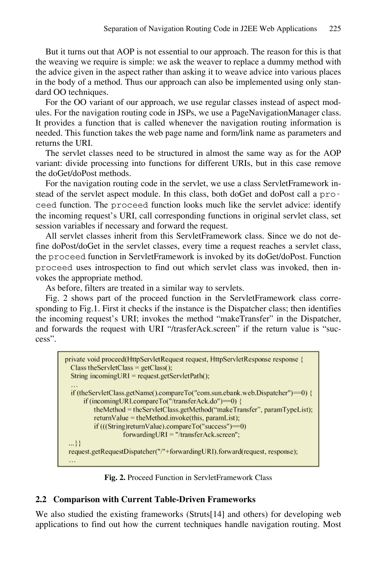But it turns out that AOP is not essential to our approach. The reason for this is that the weaving we require is simple: we ask the weaver to replace a dummy method with the advice given in the aspect rather than asking it to weave advice into various places in the body of a method. Thus our approach can also be implemented using only standard OO techniques.

For the OO variant of our approach, we use regular classes instead of aspect modules. For the navigation routing code in JSPs, we use a PageNavigationManager class. It provides a function that is called whenever the navigation routing information is needed. This function takes the web page name and form/link name as parameters and returns the URI.

The servlet classes need to be structured in almost the same way as for the AOP variant: divide processing into functions for different URIs, but in this case remove the doGet/doPost methods.

For the navigation routing code in the servlet, we use a class ServletFramework instead of the servlet aspect module. In this class, both doGet and doPost call a proceed function. The proceed function looks much like the servlet advice: identify the incoming request's URI, call corresponding functions in original servlet class, set session variables if necessary and forward the request.

All servlet classes inherit from this ServletFramework class. Since we do not define doPost/doGet in the servlet classes, every time a request reaches a servlet class, the proceed function in ServletFramework is invoked by its doGet/doPost. Function proceed uses introspection to find out which servlet class was invoked, then invokes the appropriate method.

As before, filters are treated in a similar way to servlets.

Fig. 2 shows part of the proceed function in the ServletFramework class corresponding to Fig.1. First it checks if the instance is the Dispatcher class; then identifies the incoming request's URI; invokes the method "makeTransfer" in the Dispatcher, and forwards the request with URI "/trasferAck.screen" if the return value is "success".

```
private void proceed(HttpServletRequest request, HttpServletResponse response {
Class the ServletClass = getClass();
String incoming URI = request.getServletPath();
if (the Servlet Class.get Name().compare To("com.sun.ebank.web.Dispatcher")=0) {
    if (incomingURI.compareTo("/transferAck.do")=0) {
        theMethod = theServletClass.getMethod("makeTransfer", paramTypeList);
        returnValue = theMethod.invoke(this, paramList);
        if (((String)returnValue).compareTo("success")=0)
                 forwardingURI = "/transferAck.screen";
...\}request.getRequestDispatcher("/"+forwardingURI).forward(request, response);
```
**Fig. 2.** Proceed Function in ServletFramework Class

#### **2.2 Comparison with Current Table-Driven Frameworks**

We also studied the existing frameworks (Struts[14] and others) for developing web applications to find out how the current techniques handle navigation routing. Most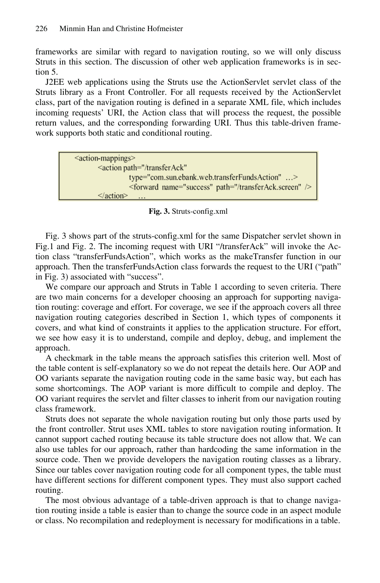frameworks are similar with regard to navigation routing, so we will only discuss Struts in this section. The discussion of other web application frameworks is in section 5.

J2EE web applications using the Struts use the ActionServlet servlet class of the Struts library as a Front Controller. For all requests received by the ActionServlet class, part of the navigation routing is defined in a separate XML file, which includes incoming requests' URI, the Action class that will process the request, the possible return values, and the corresponding forwarding URI. Thus this table-driven framework supports both static and conditional routing.

| <action-mappings></action-mappings>                           |
|---------------------------------------------------------------|
| <action <="" path="/transferAck" td=""></action>              |
| type="com.sun.ebank.web.transferFundsAction" >                |
| <forward name="success" path="/transferAck.screen"></forward> |
| $\leq$ action>                                                |

**Fig. 3.** Struts-config.xml

Fig. 3 shows part of the struts-config.xml for the same Dispatcher servlet shown in Fig.1 and Fig. 2. The incoming request with URI "/transferAck" will invoke the Action class "transferFundsAction", which works as the makeTransfer function in our approach. Then the transferFundsAction class forwards the request to the URI ("path" in Fig. 3) associated with "success".

We compare our approach and Struts in Table 1 according to seven criteria. There are two main concerns for a developer choosing an approach for supporting navigation routing: coverage and effort. For coverage, we see if the approach covers all three navigation routing categories described in Section 1, which types of components it covers, and what kind of constraints it applies to the application structure. For effort, we see how easy it is to understand, compile and deploy, debug, and implement the approach.

A checkmark in the table means the approach satisfies this criterion well. Most of the table content is self-explanatory so we do not repeat the details here. Our AOP and OO variants separate the navigation routing code in the same basic way, but each has some shortcomings. The AOP variant is more difficult to compile and deploy. The OO variant requires the servlet and filter classes to inherit from our navigation routing class framework.

Struts does not separate the whole navigation routing but only those parts used by the front controller. Strut uses XML tables to store navigation routing information. It cannot support cached routing because its table structure does not allow that. We can also use tables for our approach, rather than hardcoding the same information in the source code. Then we provide developers the navigation routing classes as a library. Since our tables cover navigation routing code for all component types, the table must have different sections for different component types. They must also support cached routing.

The most obvious advantage of a table-driven approach is that to change navigation routing inside a table is easier than to change the source code in an aspect module or class. No recompilation and redeployment is necessary for modifications in a table.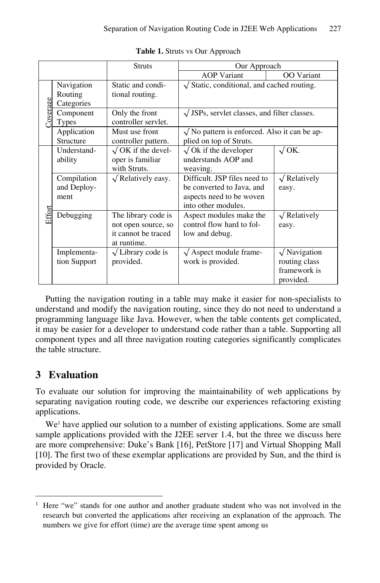|         |                                     | <b>Struts</b>                                                                    | Our Approach                                                                                                 |                                                                   |  |
|---------|-------------------------------------|----------------------------------------------------------------------------------|--------------------------------------------------------------------------------------------------------------|-------------------------------------------------------------------|--|
|         |                                     |                                                                                  | <b>AOP Variant</b>                                                                                           | <b>OO</b> Variant                                                 |  |
|         | Navigation<br>Routing<br>Categories | Static and condi-<br>tional routing.                                             | $\sqrt{\frac{1}{100}}$ Static, conditional, and cached routing.                                              |                                                                   |  |
| overage | Component<br>Types                  | Only the front<br>controller servlet.                                            | $\sqrt{JSPs}$ , servlet classes, and filter classes.                                                         |                                                                   |  |
|         | Application<br>Structure            | Must use front<br>controller pattern.                                            | $\sqrt{N}$ No pattern is enforced. Also it can be ap-<br>plied on top of Struts.                             |                                                                   |  |
|         | Understand-<br>ability              | $\sqrt{OK}$ if the devel-<br>oper is familiar<br>with Struts.                    | $\sqrt{0k}$ if the developer<br>understands AOP and<br>weaving.                                              | $\sqrt{OK}$ .                                                     |  |
|         | Compilation<br>and Deploy-<br>ment  | $\sqrt{\text{Relatively easy}}$ .                                                | Difficult. JSP files need to<br>be converted to Java, and<br>aspects need to be woven<br>into other modules. | $\sqrt{\text{Relatively}}$<br>easy.                               |  |
| Effort  | Debugging                           | The library code is<br>not open source, so<br>it cannot be traced<br>at runtime. | Aspect modules make the<br>control flow hard to fol-<br>low and debug.                                       | $\sqrt{\text{Relatively}}$<br>easy.                               |  |
|         | Implementa-<br>tion Support         | $\sqrt{\text{Library code}}$ is<br>provided.                                     | $\sqrt{\text{Aspect module frame}}$<br>work is provided.                                                     | $\sqrt{$ Navigation<br>routing class<br>framework is<br>provided. |  |

**Table 1.** Struts vs Our Approach

Putting the navigation routing in a table may make it easier for non-specialists to understand and modify the navigation routing, since they do not need to understand a programming language like Java. However, when the table contents get complicated, it may be easier for a developer to understand code rather than a table. Supporting all component types and all three navigation routing categories significantly complicates the table structure.

## **3 Evaluation**

 $\overline{\phantom{a}}$ 

To evaluate our solution for improving the maintainability of web applications by separating navigation routing code, we describe our experiences refactoring existing applications.

We<sup>1</sup> have applied our solution to a number of existing applications. Some are small sample applications provided with the J2EE server 1.4, but the three we discuss here are more comprehensive: Duke's Bank [16], PetStore [17] and Virtual Shopping Mall [10]. The first two of these exemplar applications are provided by Sun, and the third is provided by Oracle.

 $1$  Here "we" stands for one author and another graduate student who was not involved in the research but converted the applications after receiving an explanation of the approach. The numbers we give for effort (time) are the average time spent among us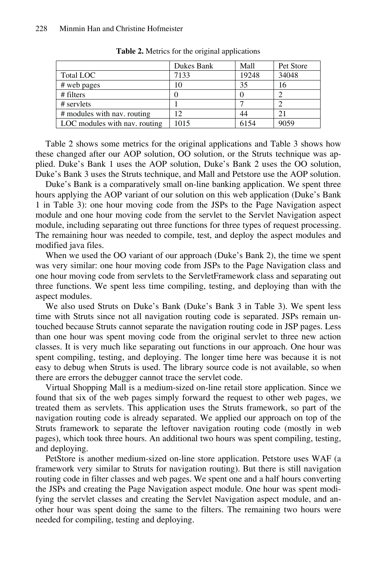|                               | Dukes Bank | Mall  | Pet Store |
|-------------------------------|------------|-------|-----------|
| Total LOC                     | 7133       | 19248 | 34048     |
| # web pages                   | 10         | 35    | 16        |
| # filters                     |            |       |           |
| # servlets                    |            |       |           |
| # modules with nav. routing   | 12         | 44    |           |
| LOC modules with nav. routing | 1015       | 6154  | 9059      |

**Table 2.** Metrics for the original applications

Table 2 shows some metrics for the original applications and Table 3 shows how these changed after our AOP solution, OO solution, or the Struts technique was applied. Duke's Bank 1 uses the AOP solution, Duke's Bank 2 uses the OO solution, Duke's Bank 3 uses the Struts technique, and Mall and Petstore use the AOP solution.

Duke's Bank is a comparatively small on-line banking application. We spent three hours applying the AOP variant of our solution on this web application (Duke's Bank 1 in Table 3): one hour moving code from the JSPs to the Page Navigation aspect module and one hour moving code from the servlet to the Servlet Navigation aspect module, including separating out three functions for three types of request processing. The remaining hour was needed to compile, test, and deploy the aspect modules and modified java files.

When we used the OO variant of our approach (Duke's Bank 2), the time we spent was very similar: one hour moving code from JSPs to the Page Navigation class and one hour moving code from servlets to the ServletFramework class and separating out three functions. We spent less time compiling, testing, and deploying than with the aspect modules.

We also used Struts on Duke's Bank (Duke's Bank 3 in Table 3). We spent less time with Struts since not all navigation routing code is separated. JSPs remain untouched because Struts cannot separate the navigation routing code in JSP pages. Less than one hour was spent moving code from the original servlet to three new action classes. It is very much like separating out functions in our approach. One hour was spent compiling, testing, and deploying. The longer time here was because it is not easy to debug when Struts is used. The library source code is not available, so when there are errors the debugger cannot trace the servlet code.

Virtual Shopping Mall is a medium-sized on-line retail store application. Since we found that six of the web pages simply forward the request to other web pages, we treated them as servlets. This application uses the Struts framework, so part of the navigation routing code is already separated. We applied our approach on top of the Struts framework to separate the leftover navigation routing code (mostly in web pages), which took three hours. An additional two hours was spent compiling, testing, and deploying.

PetStore is another medium-sized on-line store application. Petstore uses WAF (a framework very similar to Struts for navigation routing). But there is still navigation routing code in filter classes and web pages. We spent one and a half hours converting the JSPs and creating the Page Navigation aspect module. One hour was spent modifying the servlet classes and creating the Servlet Navigation aspect module, and another hour was spent doing the same to the filters. The remaining two hours were needed for compiling, testing and deploying.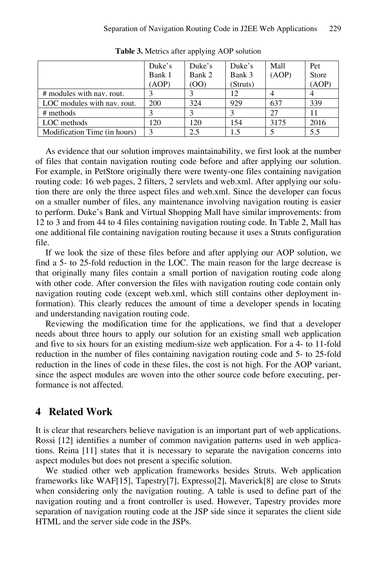|                              | Duke's | Duke's | Duke's   | Mall  | Pet          |
|------------------------------|--------|--------|----------|-------|--------------|
|                              | Bank 1 | Bank 2 | Bank 3   | (AOP) | <b>Store</b> |
|                              | (AOP)  | (OO)   | (Struts) |       | (AOP)        |
| # modules with nay, rout.    |        |        |          |       |              |
| LOC modules with nav. rout.  | 200    | 324    | 929      | 637   | 339          |
| # methods                    |        |        |          | 27    | 11           |
| LOC methods                  | 120    | 120    | 154      | 3175  | 2016         |
| Modification Time (in hours) |        | 2.5    | 1.5      |       | 5.5          |

**Table 3.** Metrics after applying AOP solution

As evidence that our solution improves maintainability, we first look at the number of files that contain navigation routing code before and after applying our solution. For example, in PetStore originally there were twenty-one files containing navigation routing code: 16 web pages, 2 filters, 2 servlets and web.xml. After applying our solution there are only the three aspect files and web.xml. Since the developer can focus on a smaller number of files, any maintenance involving navigation routing is easier to perform. Duke's Bank and Virtual Shopping Mall have similar improvements: from 12 to 3 and from 44 to 4 files containing navigation routing code. In Table 2, Mall has one additional file containing navigation routing because it uses a Struts configuration file.

If we look the size of these files before and after applying our AOP solution, we find a 5- to 25-fold reduction in the LOC. The main reason for the large decrease is that originally many files contain a small portion of navigation routing code along with other code. After conversion the files with navigation routing code contain only navigation routing code (except web.xml, which still contains other deployment information). This clearly reduces the amount of time a developer spends in locating and understanding navigation routing code.

Reviewing the modification time for the applications, we find that a developer needs about three hours to apply our solution for an existing small web application and five to six hours for an existing medium-size web application. For a 4- to 11-fold reduction in the number of files containing navigation routing code and 5- to 25-fold reduction in the lines of code in these files, the cost is not high. For the AOP variant, since the aspect modules are woven into the other source code before executing, performance is not affected.

## **4 Related Work**

It is clear that researchers believe navigation is an important part of web applications. Rossi [12] identifies a number of common navigation patterns used in web applications. Reina [11] states that it is necessary to separate the navigation concerns into aspect modules but does not present a specific solution.

We studied other web application frameworks besides Struts. Web application frameworks like WAF[15], Tapestry[7], Expresso[2], Maverick[8] are close to Struts when considering only the navigation routing. A table is used to define part of the navigation routing and a front controller is used. However, Tapestry provides more separation of navigation routing code at the JSP side since it separates the client side HTML and the server side code in the JSPs.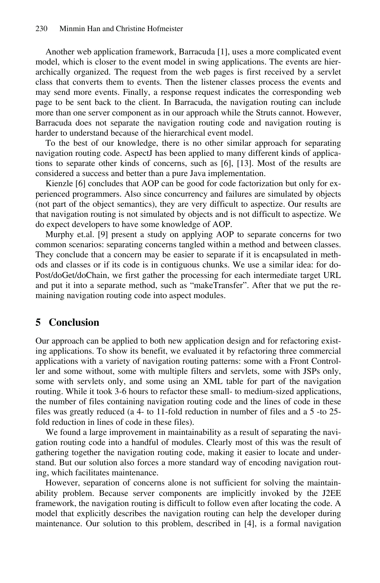Another web application framework, Barracuda [1], uses a more complicated event model, which is closer to the event model in swing applications. The events are hierarchically organized. The request from the web pages is first received by a servlet class that converts them to events. Then the listener classes process the events and may send more events. Finally, a response request indicates the corresponding web page to be sent back to the client. In Barracuda, the navigation routing can include more than one server component as in our approach while the Struts cannot. However, Barracuda does not separate the navigation routing code and navigation routing is harder to understand because of the hierarchical event model.

To the best of our knowledge, there is no other similar approach for separating navigation routing code. AspectJ has been applied to many different kinds of applications to separate other kinds of concerns, such as [6], [13]. Most of the results are considered a success and better than a pure Java implementation.

Kienzle [6] concludes that AOP can be good for code factorization but only for experienced programmers. Also since concurrency and failures are simulated by objects (not part of the object semantics), they are very difficult to aspectize. Our results are that navigation routing is not simulated by objects and is not difficult to aspectize. We do expect developers to have some knowledge of AOP.

Murphy et.al. [9] present a study on applying AOP to separate concerns for two common scenarios: separating concerns tangled within a method and between classes. They conclude that a concern may be easier to separate if it is encapsulated in methods and classes or if its code is in contiguous chunks. We use a similar idea: for do-Post/doGet/doChain, we first gather the processing for each intermediate target URL and put it into a separate method, such as "makeTransfer". After that we put the remaining navigation routing code into aspect modules.

## **5 Conclusion**

Our approach can be applied to both new application design and for refactoring existing applications. To show its benefit, we evaluated it by refactoring three commercial applications with a variety of navigation routing patterns: some with a Front Controller and some without, some with multiple filters and servlets, some with JSPs only, some with servlets only, and some using an XML table for part of the navigation routing. While it took 3-6 hours to refactor these small- to medium-sized applications, the number of files containing navigation routing code and the lines of code in these files was greatly reduced (a 4- to 11-fold reduction in number of files and a 5 -to 25 fold reduction in lines of code in these files).

We found a large improvement in maintainability as a result of separating the navigation routing code into a handful of modules. Clearly most of this was the result of gathering together the navigation routing code, making it easier to locate and understand. But our solution also forces a more standard way of encoding navigation routing, which facilitates maintenance.

However, separation of concerns alone is not sufficient for solving the maintainability problem. Because server components are implicitly invoked by the J2EE framework, the navigation routing is difficult to follow even after locating the code. A model that explicitly describes the navigation routing can help the developer during maintenance. Our solution to this problem, described in [4], is a formal navigation